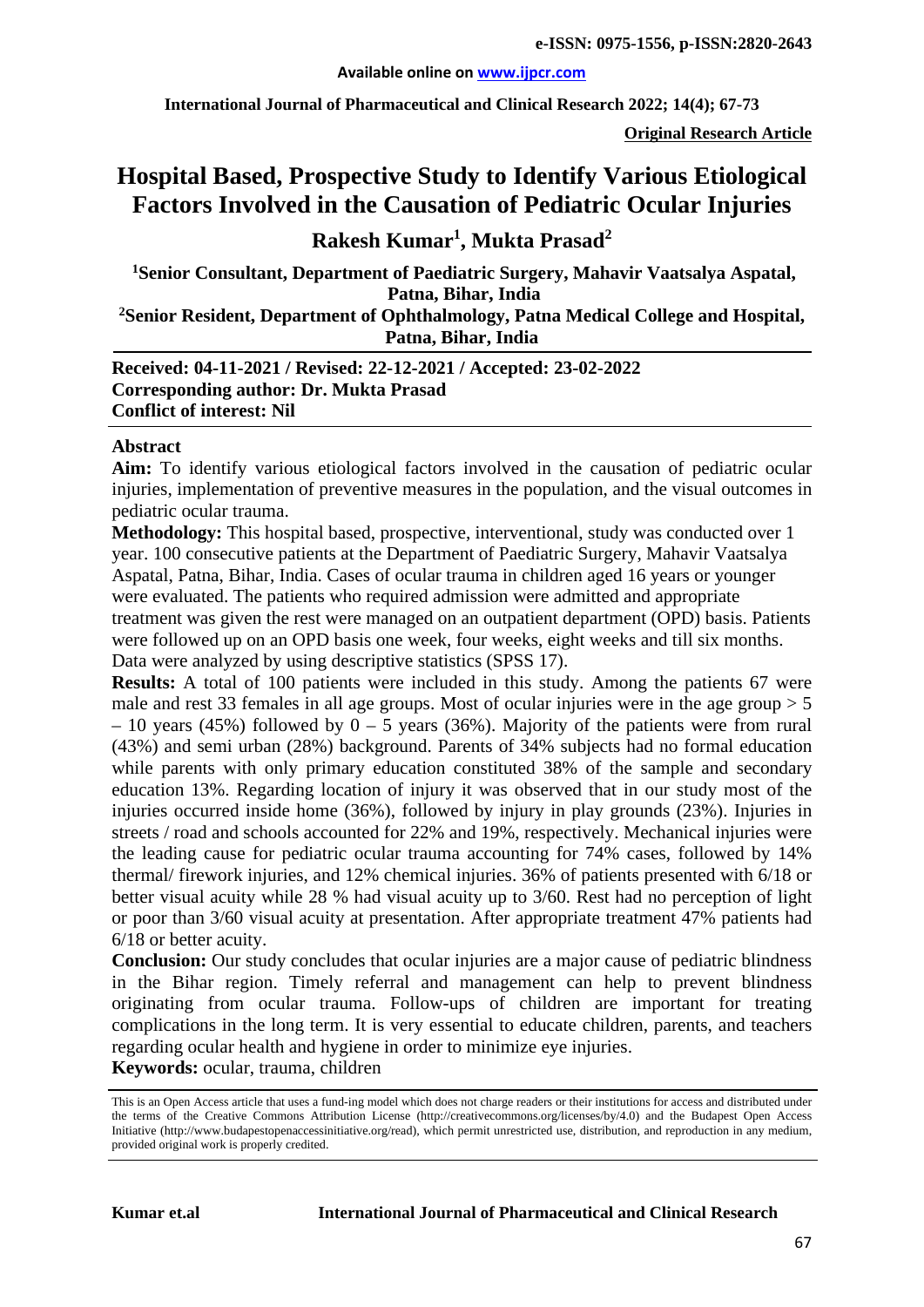**International Journal of Pharmaceutical and Clinical Research 2022; 14(4); 67-73**

**Original Research Article**

# **Hospital Based, Prospective Study to Identify Various Etiological Factors Involved in the Causation of Pediatric Ocular Injuries**

## **Rakesh Kumar1 , Mukta Prasad2**

**1 Senior Consultant, Department of Paediatric Surgery, Mahavir Vaatsalya Aspatal, Patna, Bihar, India 2 Senior Resident, Department of Ophthalmology, Patna Medical College and Hospital, Patna, Bihar, India**

**Received: 04-11-2021 / Revised: 22-12-2021 / Accepted: 23-02-2022 Corresponding author: Dr. Mukta Prasad Conflict of interest: Nil**

#### **Abstract**

**Aim:** To identify various etiological factors involved in the causation of pediatric ocular injuries, implementation of preventive measures in the population, and the visual outcomes in pediatric ocular trauma.

**Methodology:** This hospital based, prospective, interventional, study was conducted over 1 year. 100 consecutive patients at the Department of Paediatric Surgery, Mahavir Vaatsalya Aspatal, Patna, Bihar, India. Cases of ocular trauma in children aged 16 years or younger were evaluated. The patients who required admission were admitted and appropriate treatment was given the rest were managed on an outpatient department (OPD) basis. Patients were followed up on an OPD basis one week, four weeks, eight weeks and till six months. Data were analyzed by using descriptive statistics (SPSS 17).

**Results:** A total of 100 patients were included in this study. Among the patients 67 were male and rest 33 females in all age groups. Most of ocular injuries were in the age group  $> 5$ – 10 years (45%) followed by  $0 - 5$  years (36%). Majority of the patients were from rural (43%) and semi urban (28%) background. Parents of 34% subjects had no formal education while parents with only primary education constituted 38% of the sample and secondary education 13%. Regarding location of injury it was observed that in our study most of the injuries occurred inside home (36%), followed by injury in play grounds (23%). Injuries in streets / road and schools accounted for 22% and 19%, respectively. Mechanical injuries were the leading cause for pediatric ocular trauma accounting for 74% cases, followed by 14% thermal/ firework injuries, and 12% chemical injuries. 36% of patients presented with 6/18 or better visual acuity while 28 % had visual acuity up to 3/60. Rest had no perception of light or poor than 3/60 visual acuity at presentation. After appropriate treatment 47% patients had 6/18 or better acuity.

**Conclusion:** Our study concludes that ocular injuries are a major cause of pediatric blindness in the Bihar region. Timely referral and management can help to prevent blindness originating from ocular trauma. Follow-ups of children are important for treating complications in the long term. It is very essential to educate children, parents, and teachers regarding ocular health and hygiene in order to minimize eye injuries.

**Keywords:** ocular, trauma, children

This is an Open Access article that uses a fund-ing model which does not charge readers or their institutions for access and distributed under the terms of the Creative Commons Attribution License (http://creativecommons.org/licenses/by/4.0) and the Budapest Open Access Initiative (http://www.budapestopenaccessinitiative.org/read), which permit unrestricted use, distribution, and reproduction in any medium, provided original work is properly credited.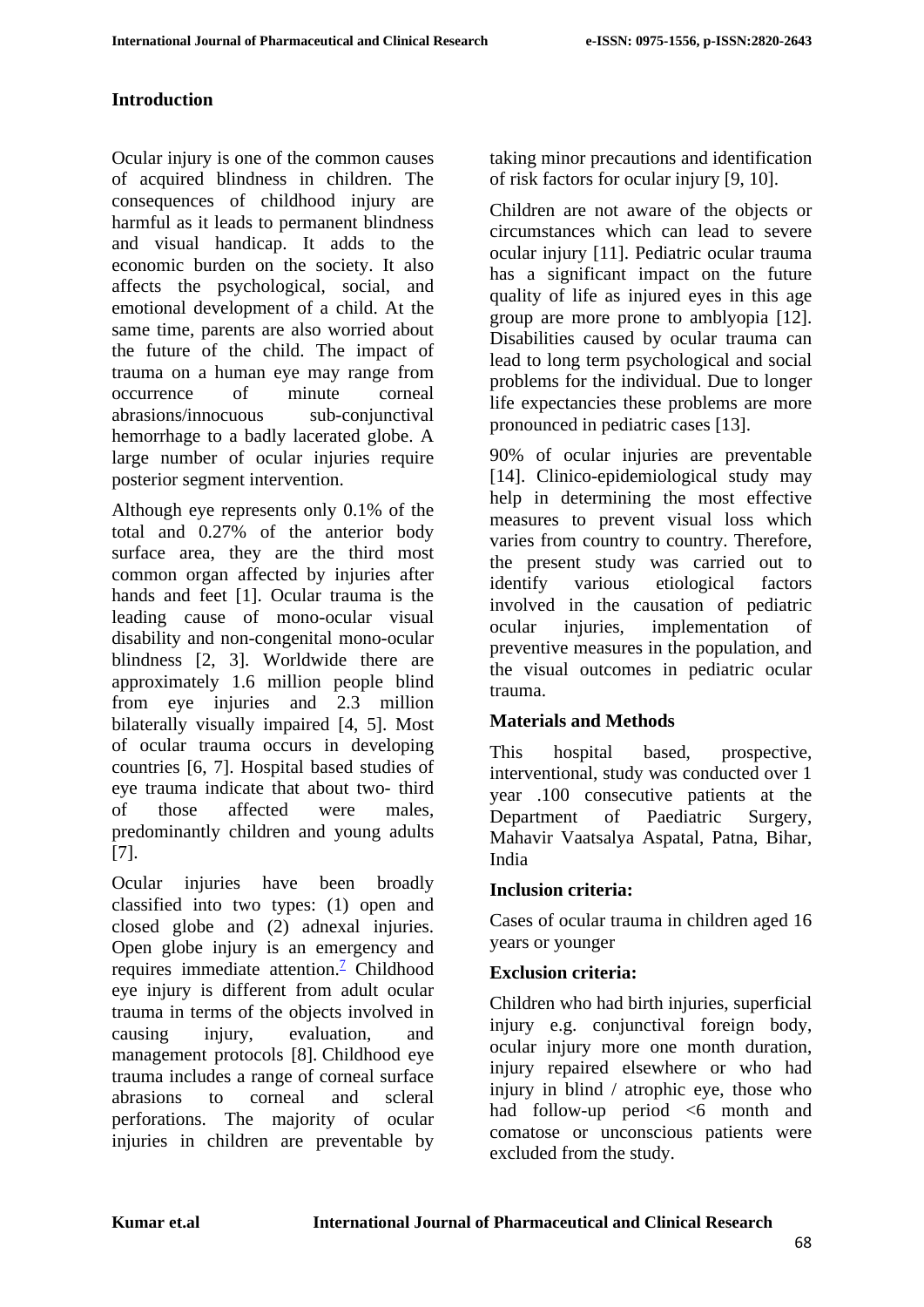#### **Introduction**

Ocular injury is one of the common causes of acquired blindness in children. The consequences of childhood injury are harmful as it leads to permanent blindness and visual handicap. It adds to the economic burden on the society. It also affects the psychological, social, and emotional development of a child. At the same time, parents are also worried about the future of the child. The impact of trauma on a human eye may range from occurrence of minute corneal abrasions/innocuous sub-conjunctival hemorrhage to a badly lacerated globe. A large number of ocular injuries require posterior segment intervention.

Although eye represents only 0.1% of the total and 0.27% of the anterior body surface area, they are the third most common organ affected by injuries after hands and feet [1]. Ocular trauma is the leading cause of mono-ocular visual disability and non-congenital mono-ocular blindness [2, 3]. Worldwide there are approximately 1.6 million people blind from eye injuries and 2.3 million bilaterally visually impaired [4, 5]. Most of ocular trauma occurs in developing countries [6, 7]. Hospital based studies of eye trauma indicate that about two- third of those affected were males, predominantly children and young adults [7].

Ocular injuries have been broadly classified into two types: (1) open and closed globe and (2) adnexal injuries. Open globe injury is an emergency and requires immediate attention.<sup>7</sup> Childhood eye injury is different from adult ocular trauma in terms of the objects involved in causing injury, evaluation, and management protocols [8]. Childhood eye trauma includes a range of corneal surface abrasions to corneal and scleral perforations. The majority of ocular injuries in children are preventable by taking minor precautions and identification of risk factors for ocular injury [9, 10].

Children are not aware of the objects or circumstances which can lead to severe ocular injury [11]. Pediatric ocular trauma has a significant impact on the future quality of life as injured eyes in this age group are more prone to amblyopia [12]. Disabilities caused by ocular trauma can lead to long term psychological and social problems for the individual. Due to longer life expectancies these problems are more pronounced in pediatric cases [13].

90% of ocular injuries are preventable [14]. Clinico-epidemiological study may help in determining the most effective measures to prevent visual loss which varies from country to country. Therefore, the present study was carried out to identify various etiological factors involved in the causation of pediatric ocular injuries, implementation of preventive measures in the population, and the visual outcomes in pediatric ocular trauma.

#### **Materials and Methods**

This hospital based, prospective, interventional, study was conducted over 1 year .100 consecutive patients at the Department of Paediatric Surgery, Mahavir Vaatsalya Aspatal, Patna, Bihar, India

#### **Inclusion criteria:**

Cases of ocular trauma in children aged 16 years or younger

#### **Exclusion criteria:**

Children who had birth injuries, superficial injury e.g. conjunctival foreign body, ocular injury more one month duration, injury repaired elsewhere or who had injury in blind / atrophic eye, those who had follow-up period  $\leq 6$  month and comatose or unconscious patients were excluded from the study.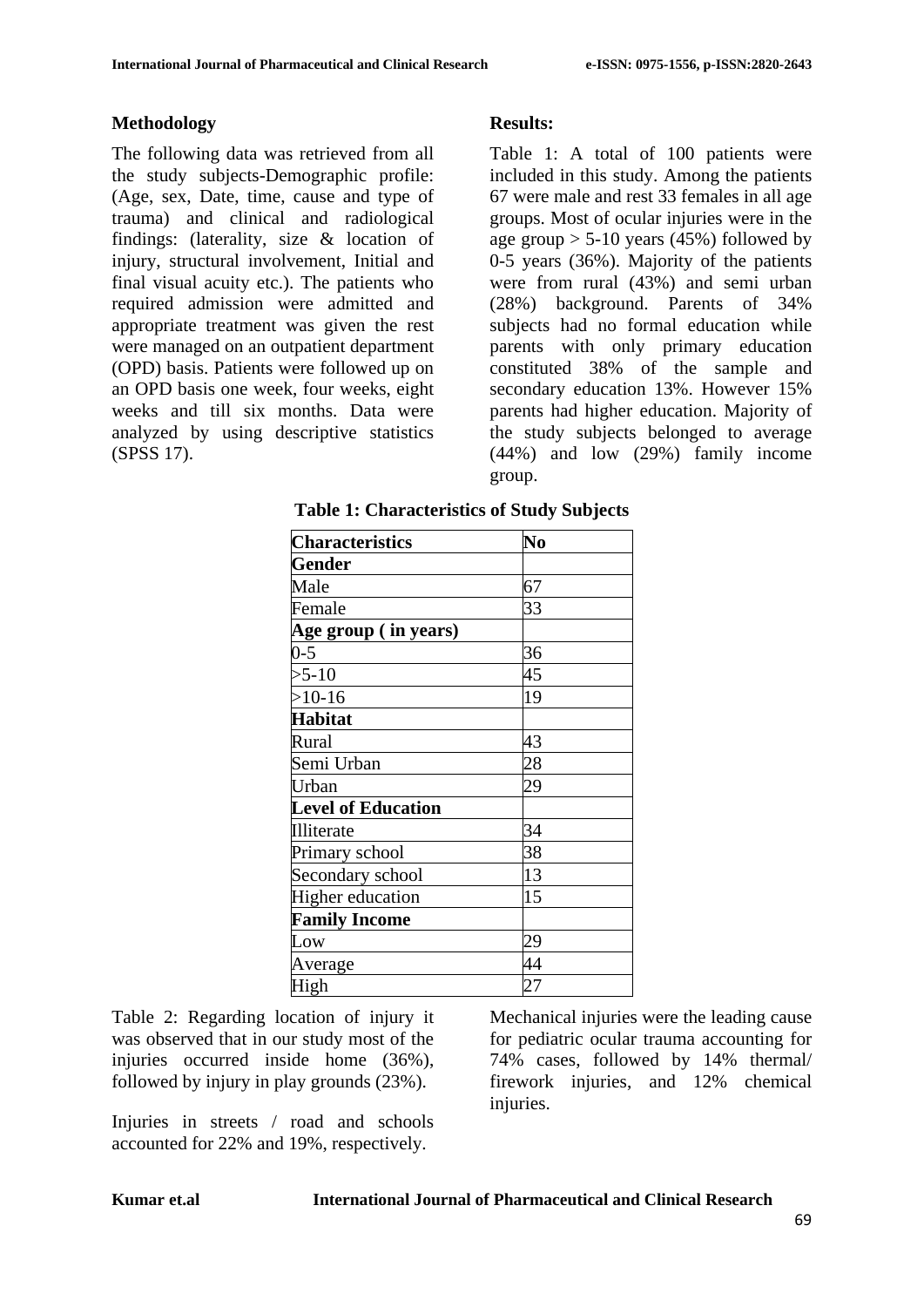#### **Methodology**

The following data was retrieved from all the study subjects-Demographic profile: (Age, sex, Date, time, cause and type of trauma) and clinical and radiological findings: (laterality, size & location of injury, structural involvement, Initial and final visual acuity etc.). The patients who required admission were admitted and appropriate treatment was given the rest were managed on an outpatient department (OPD) basis. Patients were followed up on an OPD basis one week, four weeks, eight weeks and till six months. Data were analyzed by using descriptive statistics (SPSS 17).

#### **Results:**

Table 1: A total of 100 patients were included in this study. Among the patients 67 were male and rest 33 females in all age groups. Most of ocular injuries were in the age group  $> 5-10$  years (45%) followed by 0-5 years (36%). Majority of the patients were from rural (43%) and semi urban (28%) background. Parents of 34% subjects had no formal education while parents with only primary education constituted 38% of the sample and secondary education 13%. However 15% parents had higher education. Majority of the study subjects belonged to average (44%) and low (29%) family income group.

| <b>Characteristics</b>    | $\overline{\textbf{N}}\textbf{0}$ |
|---------------------------|-----------------------------------|
| <b>Gender</b>             |                                   |
| Male                      | 67                                |
| Female                    | 33                                |
| Age group (in years)      |                                   |
| $0 - 5$                   | 36                                |
| $>5-10$                   | 45                                |
| $>10-16$                  | 19                                |
| <b>Habitat</b>            |                                   |
| Rural                     | 43                                |
| Semi Urban                | 28                                |
| Urban                     | 29                                |
| <b>Level of Education</b> |                                   |
| Illiterate                | 34                                |
| Primary school            | 38                                |
| Secondary school          | 13                                |
| Higher education          | 15                                |
| <b>Family Income</b>      |                                   |
| Low                       | 29                                |
| Average                   | 44                                |
| High                      | 27                                |

**Table 1: Characteristics of Study Subjects**

Table 2: Regarding location of injury it was observed that in our study most of the injuries occurred inside home (36%), followed by injury in play grounds (23%).

Injuries in streets / road and schools accounted for 22% and 19%, respectively.

Mechanical injuries were the leading cause for pediatric ocular trauma accounting for 74% cases, followed by 14% thermal/ firework injuries, and 12% chemical injuries.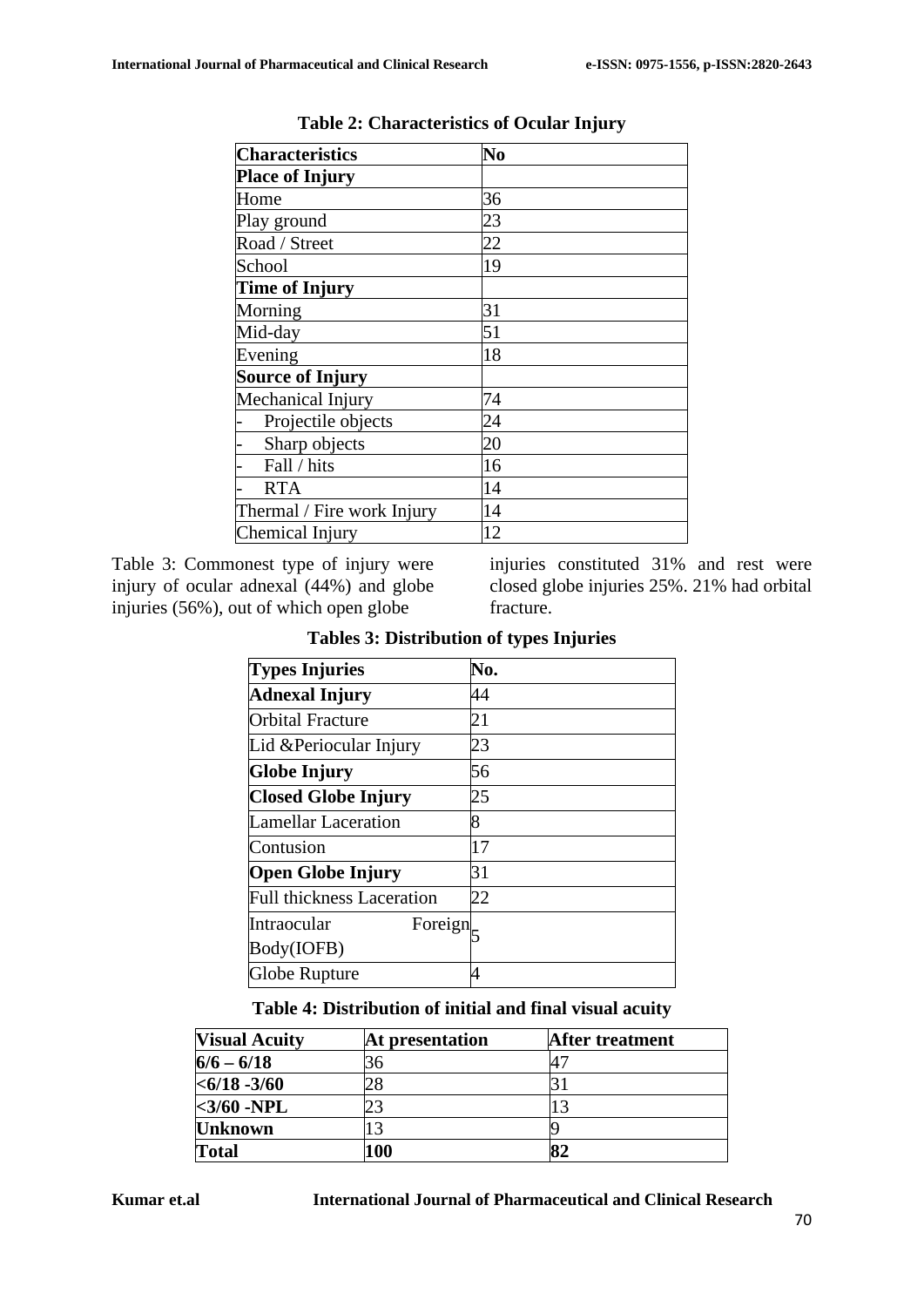| <b>Characteristics</b>     | N <sub>0</sub> |
|----------------------------|----------------|
| <b>Place of Injury</b>     |                |
| Home                       | 36             |
| Play ground                | 23             |
| Road / Street              | 22             |
| School                     | 19             |
| <b>Time of Injury</b>      |                |
| Morning                    | 31             |
| Mid-day                    | 51             |
| Evening                    | 18             |
| <b>Source of Injury</b>    |                |
| Mechanical Injury          | 74             |
| Projectile objects         | 24             |
| Sharp objects              | 20             |
| Fall / hits                | 16             |
| <b>RTA</b>                 | 14             |
| Thermal / Fire work Injury | 14             |
| Chemical Injury            | 12             |

**Table 2: Characteristics of Ocular Injury**

Table 3: Commonest type of injury were injury of ocular adnexal (44%) and globe injuries (56%), out of which open globe

injuries constituted 31% and rest were closed globe injuries 25%. 21% had orbital fracture.

| <b>Types Injuries</b>            | No. |
|----------------------------------|-----|
| <b>Adnexal Injury</b>            | 44  |
| Orbital Fracture                 | 21  |
| Lid & Periocular Injury          | 23  |
| <b>Globe Injury</b>              | 56  |
| <b>Closed Globe Injury</b>       | 25  |
| <b>Lamellar Laceration</b>       | 8   |
| Contusion                        | 17  |
| <b>Open Globe Injury</b>         | 31  |
| <b>Full thickness Laceration</b> | 22  |
| Intraocular<br>Foreign           |     |
| Body(IOFB)                       |     |
| Globe Rupture                    |     |

**Tables 3: Distribution of types Injuries**

#### **Table 4: Distribution of initial and final visual acuity**

| <b>Visual Acuity</b> | At presentation | <b>After treatment</b> |
|----------------------|-----------------|------------------------|
| $6/6 - 6/18$         | 36              |                        |
| $< 6/18 - 3/60$      |                 |                        |
| $<3/60$ -NPL         |                 |                        |
| <b>Unknown</b>       |                 |                        |
| <b>Total</b>         | 100             |                        |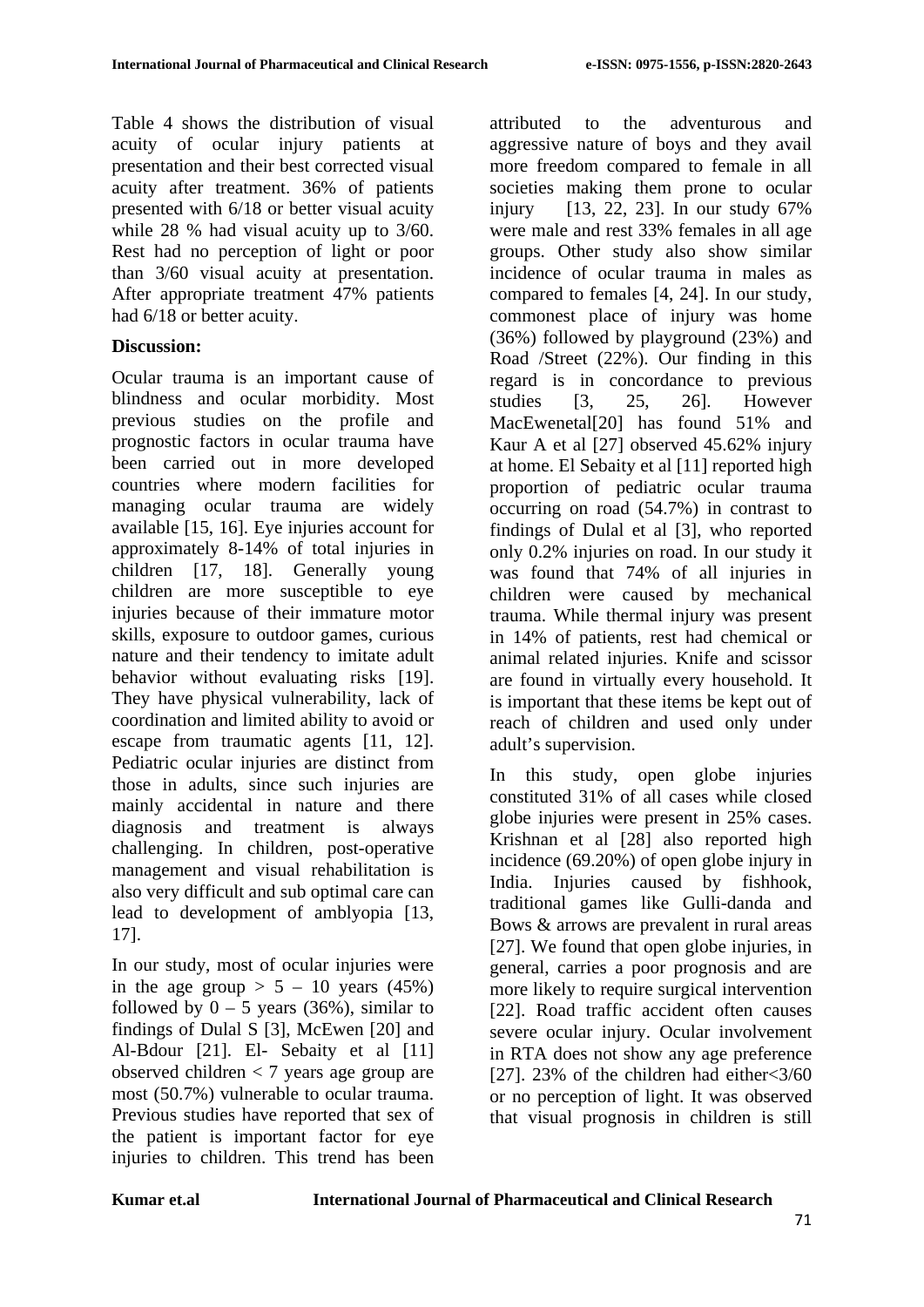Table 4 shows the distribution of visual acuity of ocular injury patients at presentation and their best corrected visual acuity after treatment. 36% of patients presented with 6/18 or better visual acuity while 28 % had visual acuity up to  $3/60$ . Rest had no perception of light or poor than 3/60 visual acuity at presentation. After appropriate treatment 47% patients had 6/18 or better acuity.

#### **Discussion:**

Ocular trauma is an important cause of blindness and ocular morbidity. Most previous studies on the profile and prognostic factors in ocular trauma have been carried out in more developed countries where modern facilities for managing ocular trauma are widely available [15, 16]. Eye injuries account for approximately 8-14% of total injuries in children [17, 18]. Generally young children are more susceptible to eye injuries because of their immature motor skills, exposure to outdoor games, curious nature and their tendency to imitate adult behavior without evaluating risks [19]. They have physical vulnerability, lack of coordination and limited ability to avoid or escape from traumatic agents [11, 12]. Pediatric ocular injuries are distinct from those in adults, since such injuries are mainly accidental in nature and there diagnosis and treatment is always challenging. In children, post-operative management and visual rehabilitation is also very difficult and sub optimal care can lead to development of amblyopia [13, 17].

In our study, most of ocular injuries were in the age group  $> 5 - 10$  years (45%) followed by  $0 - 5$  years (36%), similar to findings of Dulal S [3], McEwen [20] and Al-Bdour [21]. El- Sebaity et al [11] observed children < 7 years age group are most (50.7%) vulnerable to ocular trauma. Previous studies have reported that sex of the patient is important factor for eye injuries to children. This trend has been attributed to the adventurous and aggressive nature of boys and they avail more freedom compared to female in all societies making them prone to ocular injury [13, 22, 23]. In our study 67% were male and rest 33% females in all age groups. Other study also show similar incidence of ocular trauma in males as compared to females [4, 24]. In our study, commonest place of injury was home (36%) followed by playground (23%) and Road /Street (22%). Our finding in this regard is in concordance to previous studies [3, 25, 26]. However MacEwenetal[20] has found 51% and Kaur A et al [27] observed 45.62% injury at home. El Sebaity et al [11] reported high proportion of pediatric ocular trauma occurring on road (54.7%) in contrast to findings of Dulal et al [3], who reported only 0.2% injuries on road. In our study it was found that 74% of all injuries in children were caused by mechanical trauma. While thermal injury was present in 14% of patients, rest had chemical or animal related injuries. Knife and scissor are found in virtually every household. It is important that these items be kept out of reach of children and used only under adult's supervision.

In this study, open globe injuries constituted 31% of all cases while closed globe injuries were present in 25% cases. Krishnan et al [28] also reported high incidence (69.20%) of open globe injury in India. Injuries caused by fishhook, traditional games like Gulli-danda and Bows & arrows are prevalent in rural areas [27]. We found that open globe injuries, in general, carries a poor prognosis and are more likely to require surgical intervention [22]. Road traffic accident often causes severe ocular injury. Ocular involvement in RTA does not show any age preference [27]. 23% of the children had either<3/60 or no perception of light. It was observed that visual prognosis in children is still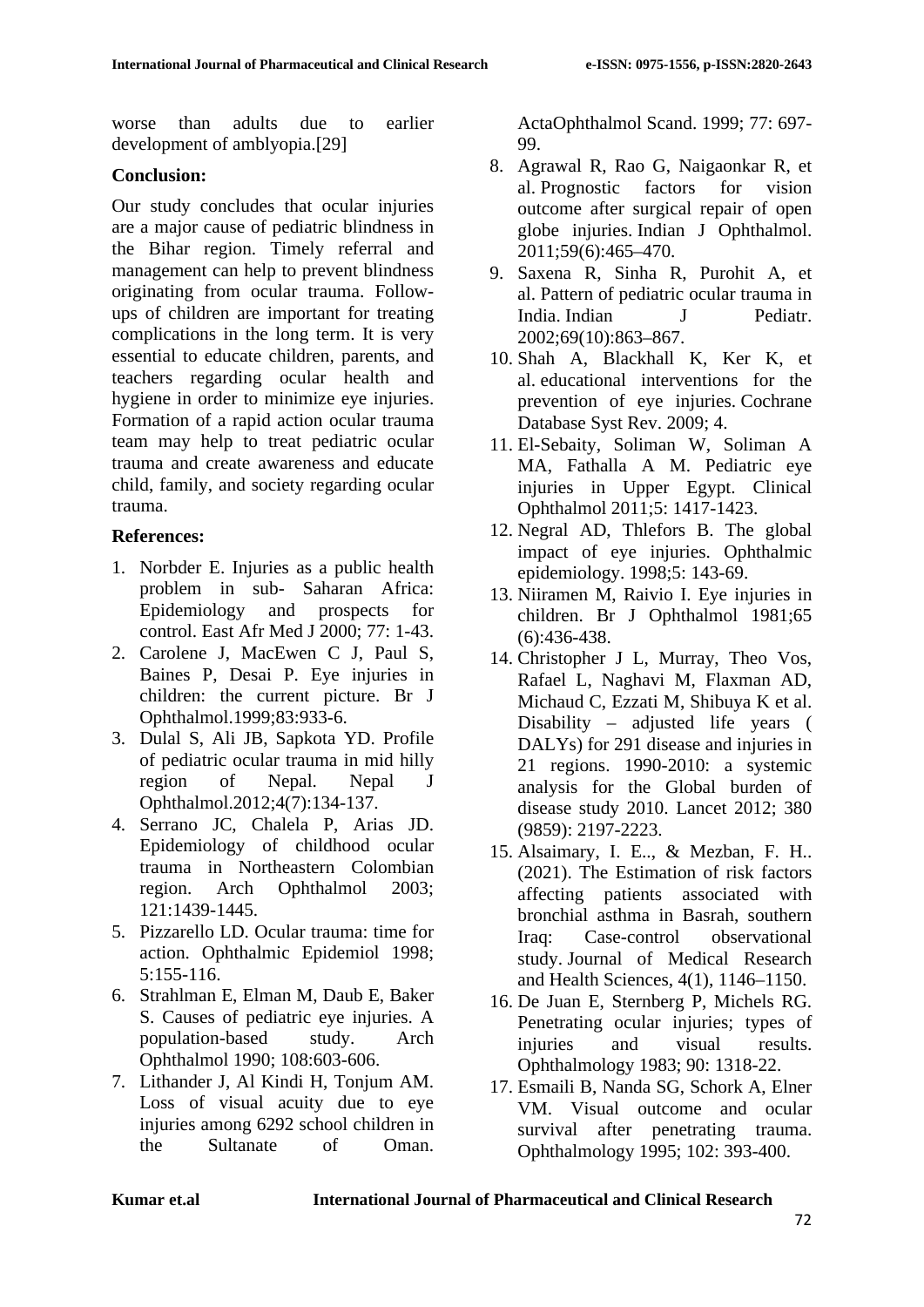worse than adults due to earlier development of amblyopia.[29]

#### **Conclusion:**

Our study concludes that ocular injuries are a major cause of pediatric blindness in the Bihar region. Timely referral and management can help to prevent blindness originating from ocular trauma. Followups of children are important for treating complications in the long term. It is very essential to educate children, parents, and teachers regarding ocular health and hygiene in order to minimize eye injuries. Formation of a rapid action ocular trauma team may help to treat pediatric ocular trauma and create awareness and educate child, family, and society regarding ocular trauma.

### **References:**

- 1. Norbder E. Injuries as a public health problem in sub- Saharan Africa: Epidemiology and prospects for control. East Afr Med J 2000; 77: 1-43.
- 2. Carolene J, MacEwen C J, Paul S, Baines P, Desai P. Eye injuries in children: the current picture. Br J Ophthalmol.1999;83:933-6.
- 3. Dulal S, Ali JB, Sapkota YD. Profile of pediatric ocular trauma in mid hilly region of Nepal. Nepal J Ophthalmol.2012;4(7):134-137.
- 4. Serrano JC, Chalela P, Arias JD. Epidemiology of childhood ocular trauma in Northeastern Colombian region. Arch Ophthalmol 2003; 121:1439-1445.
- 5. Pizzarello LD. Ocular trauma: time for action. Ophthalmic Epidemiol 1998; 5:155-116.
- 6. Strahlman E, Elman M, Daub E, Baker S. Causes of pediatric eye injuries. A population-based study. Arch Ophthalmol 1990; 108:603-606.
- 7. Lithander J, Al Kindi H, Tonjum AM. Loss of visual acuity due to eye injuries among 6292 school children in the Sultanate of Oman.

ActaOphthalmol Scand. 1999; 77: 697- 99.

- 8. Agrawal R, Rao G, Naigaonkar R, et al. Prognostic factors for vision outcome after surgical repair of open globe injuries. Indian J Ophthalmol. 2011;59(6):465–470.
- 9. Saxena R, Sinha R, Purohit A, et al. Pattern of pediatric ocular trauma in India. Indian J Pediatr. 2002;69(10):863–867.
- 10. Shah A, Blackhall K, Ker K, et al. educational interventions for the prevention of eye injuries. Cochrane Database Syst Rev. 2009; 4.
- 11. El-Sebaity, Soliman W, Soliman A MA, Fathalla A M. Pediatric eye injuries in Upper Egypt. Clinical Ophthalmol 2011;5: 1417-1423.
- 12. Negral AD, Thlefors B. The global impact of eye injuries. Ophthalmic epidemiology. 1998;5: 143-69.
- 13. Niiramen M, Raivio I. Eye injuries in children. Br J Ophthalmol 1981;65 (6):436-438.
- 14. Christopher J L, Murray, Theo Vos, Rafael L, Naghavi M, Flaxman AD, Michaud C, Ezzati M, Shibuya K et al. Disability – adjusted life years ( DALYs) for 291 disease and injuries in 21 regions. 1990-2010: a systemic analysis for the Global burden of disease study 2010. Lancet 2012; 380 (9859): 2197-2223.
- 15. Alsaimary, I. E.., & Mezban, F. H.. (2021). The Estimation of risk factors affecting patients associated with bronchial asthma in Basrah, southern Iraq: Case-control observational study. Journal of Medical Research and Health Sciences, 4(1), 1146–1150.
- 16. De Juan E, Sternberg P, Michels RG. Penetrating ocular injuries; types of<br>injuries and visual results. injuries and visual results. Ophthalmology 1983; 90: 1318-22.
- 17. Esmaili B, Nanda SG, Schork A, Elner VM. Visual outcome and ocular survival after penetrating trauma. Ophthalmology 1995; 102: 393-400.